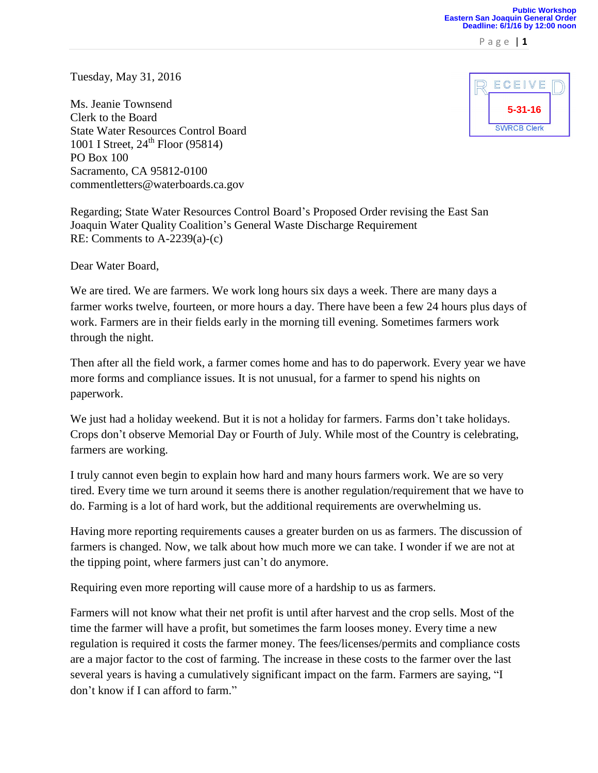P a g e | **1**

Tuesday, May 31, 2016

Ms. Jeanie Townsend Clerk to the Board State Water Resources Control Board 1001 I Street,  $24^{th}$  Floor (95814) PO Box 100 Sacramento, CA 95812-0100 commentletters@waterboards.ca.gov



Regarding; State Water Resources Control Board's Proposed Order revising the East San Joaquin Water Quality Coalition's General Waste Discharge Requirement RE: Comments to A-2239(a)-(c)

Dear Water Board,

We are tired. We are farmers. We work long hours six days a week. There are many days a farmer works twelve, fourteen, or more hours a day. There have been a few 24 hours plus days of work. Farmers are in their fields early in the morning till evening. Sometimes farmers work through the night.

Then after all the field work, a farmer comes home and has to do paperwork. Every year we have more forms and compliance issues. It is not unusual, for a farmer to spend his nights on paperwork.

We just had a holiday weekend. But it is not a holiday for farmers. Farms don't take holidays. Crops don't observe Memorial Day or Fourth of July. While most of the Country is celebrating, farmers are working.

I truly cannot even begin to explain how hard and many hours farmers work. We are so very tired. Every time we turn around it seems there is another regulation/requirement that we have to do. Farming is a lot of hard work, but the additional requirements are overwhelming us.

Having more reporting requirements causes a greater burden on us as farmers. The discussion of farmers is changed. Now, we talk about how much more we can take. I wonder if we are not at the tipping point, where farmers just can't do anymore.

Requiring even more reporting will cause more of a hardship to us as farmers.

Farmers will not know what their net profit is until after harvest and the crop sells. Most of the time the farmer will have a profit, but sometimes the farm looses money. Every time a new regulation is required it costs the farmer money. The fees/licenses/permits and compliance costs are a major factor to the cost of farming. The increase in these costs to the farmer over the last several years is having a cumulatively significant impact on the farm. Farmers are saying, "I don't know if I can afford to farm."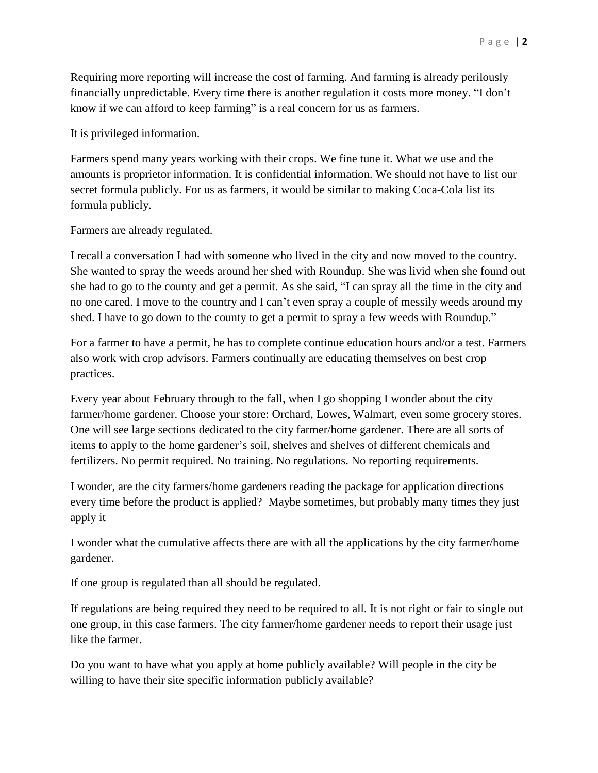Requiring more reporting will increase the cost of farming. And farming is already perilously financially unpredictable. Every time there is another regulation it costs more money. "I don't know if we can afford to keep farming" is a real concern for us as farmers.

It is privileged information.

Farmers spend many years working with their crops. We fine tune it. What we use and the amounts is proprietor information. It is confidential information. We should not have to list our secret formula publicly. For us as farmers, it would be similar to making Coca-Cola list its formula publicly.

Farmers are already regulated.

I recall a conversation I had with someone who lived in the city and now moved to the country. She wanted to spray the weeds around her shed with Roundup. She was livid when she found out she had to go to the county and get a permit. As she said, "I can spray all the time in the city and no one cared. I move to the country and I can't even spray a couple of messily weeds around my shed. I have to go down to the county to get a permit to spray a few weeds with Roundup."

For a farmer to have a permit, he has to complete continue education hours and/or a test. Farmers also work with crop advisors. Farmers continually are educating themselves on best crop practices.

Every year about February through to the fall, when I go shopping I wonder about the city farmer/home gardener. Choose your store: Orchard, Lowes, Walmart, even some grocery stores. One will see large sections dedicated to the city farmer/home gardener. There are all sorts of items to apply to the home gardener's soil, shelves and shelves of different chemicals and fertilizers. No permit required. No training. No regulations. No reporting requirements.

I wonder, are the city farmers/home gardeners reading the package for application directions every time before the product is applied? Maybe sometimes, but probably many times they just apply it

I wonder what the cumulative affects there are with all the applications by the city farmer/home gardener.

If one group is regulated than all should be regulated.

If regulations are being required they need to be required to all. It is not right or fair to single out one group, in this case farmers. The city farmer/home gardener needs to report their usage just like the farmer.

Do you want to have what you apply at home publicly available? Will people in the city be willing to have their site specific information publicly available?